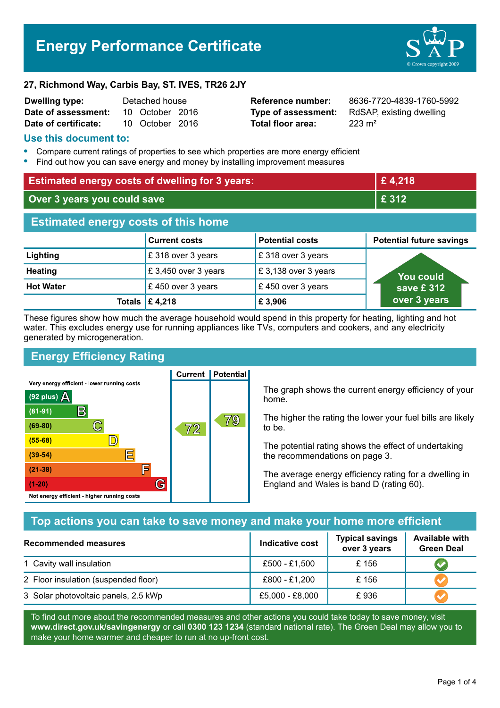# **Energy Performance Certificate**



#### **27, Richmond Way, Carbis Bay, ST. IVES, TR26 2JY**

| <b>Dwelling type:</b> | Detached house |                 |  |
|-----------------------|----------------|-----------------|--|
| Date of assessment:   |                | 10 October 2016 |  |
| Date of certificate:  |                | 10 October 2016 |  |

**Total floor area:** 223 m<sup>2</sup>

**Reference number:** 8636-7720-4839-1760-5992 **Type of assessment:** RdSAP, existing dwelling

### **Use this document to:**

- **•** Compare current ratings of properties to see which properties are more energy efficient
- **•** Find out how you can save energy and money by installing improvement measures

| <b>Estimated energy costs of dwelling for 3 years:</b> |                           | £4,218                 |                                 |
|--------------------------------------------------------|---------------------------|------------------------|---------------------------------|
| Over 3 years you could save                            |                           | £ 312                  |                                 |
| <b>Estimated energy costs of this home</b>             |                           |                        |                                 |
|                                                        | <b>Current costs</b>      | <b>Potential costs</b> | <b>Potential future savings</b> |
| Lighting                                               | £318 over 3 years         | £ 318 over 3 years     |                                 |
| <b>Heating</b>                                         | £3,450 over 3 years       | £3,138 over 3 years    | You could                       |
| <b>Hot Water</b>                                       | £450 over 3 years         | £450 over 3 years      | save £312                       |
|                                                        | Totals $\mathsf{E}$ 4,218 | £3,906                 | over 3 years                    |

These figures show how much the average household would spend in this property for heating, lighting and hot water. This excludes energy use for running appliances like TVs, computers and cookers, and any electricity generated by microgeneration.

# **Energy Efficiency Rating**

Very energy efficient - lower running costs



**Current | Potential** 

The graph shows the current energy efficiency of your home.

The higher the rating the lower your fuel bills are likely to be.

The potential rating shows the effect of undertaking the recommendations on page 3.

The average energy efficiency rating for a dwelling in England and Wales is band D (rating 60).

# **Top actions you can take to save money and make your home more efficient**

| <b>Recommended measures</b>          | Indicative cost | <b>Typical savings</b><br>over 3 years | <b>Available with</b><br><b>Green Deal</b> |
|--------------------------------------|-----------------|----------------------------------------|--------------------------------------------|
| 1 Cavity wall insulation             | £500 - £1,500   | £156                                   |                                            |
| 2 Floor insulation (suspended floor) | £800 - £1,200   | £156                                   |                                            |
| 3 Solar photovoltaic panels, 2.5 kWp | £5,000 - £8,000 | £936                                   |                                            |

To find out more about the recommended measures and other actions you could take today to save money, visit **www.direct.gov.uk/savingenergy** or call **0300 123 1234** (standard national rate). The Green Deal may allow you to make your home warmer and cheaper to run at no up-front cost.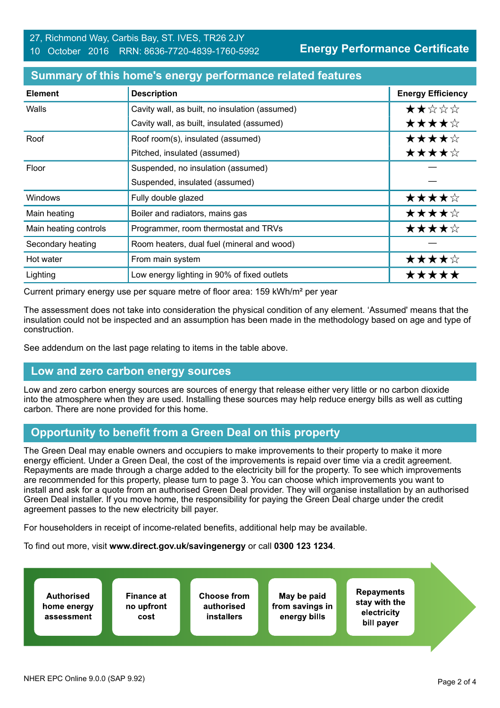#### 27, Richmond Way, Carbis Bay, ST. IVES, TR26 2JY 10 October 2016 RRN: 8636-7720-4839-1760-5992

**Energy Performance Certificate**

| <b>Element</b>        | <b>Description</b>                             | <b>Energy Efficiency</b> |
|-----------------------|------------------------------------------------|--------------------------|
| Walls                 | Cavity wall, as built, no insulation (assumed) | ★★☆☆☆                    |
|                       | Cavity wall, as built, insulated (assumed)     | ★★★★☆                    |
| Roof                  | Roof room(s), insulated (assumed)              | ★★★★☆                    |
|                       | Pitched, insulated (assumed)                   | ★★★★☆                    |
| Floor                 | Suspended, no insulation (assumed)             |                          |
|                       | Suspended, insulated (assumed)                 |                          |
| <b>Windows</b>        | Fully double glazed                            | ★★★★☆                    |
| Main heating          | Boiler and radiators, mains gas                | ★★★★☆                    |
| Main heating controls | Programmer, room thermostat and TRVs           | ★★★★☆                    |
| Secondary heating     | Room heaters, dual fuel (mineral and wood)     |                          |
| Hot water             | From main system                               | ★★★★☆                    |
| Lighting              | Low energy lighting in 90% of fixed outlets    | *****                    |

### **Summary of this home's energy performance related features**

Current primary energy use per square metre of floor area: 159 kWh/m² per year

The assessment does not take into consideration the physical condition of any element. 'Assumed' means that the insulation could not be inspected and an assumption has been made in the methodology based on age and type of construction.

See addendum on the last page relating to items in the table above.

## **Low and zero carbon energy sources**

Low and zero carbon energy sources are sources of energy that release either very little or no carbon dioxide into the atmosphere when they are used. Installing these sources may help reduce energy bills as well as cutting carbon. There are none provided for this home.

## **Opportunity to benefit from a Green Deal on this property**

The Green Deal may enable owners and occupiers to make improvements to their property to make it more energy efficient. Under a Green Deal, the cost of the improvements is repaid over time via a credit agreement. Repayments are made through a charge added to the electricity bill for the property. To see which improvements are recommended for this property, please turn to page 3. You can choose which improvements you want to install and ask for a quote from an authorised Green Deal provider. They will organise installation by an authorised Green Deal installer. If you move home, the responsibility for paying the Green Deal charge under the credit agreement passes to the new electricity bill payer.

For householders in receipt of income-related benefits, additional help may be available.

To find out more, visit **www.direct.gov.uk/savingenergy** or call **0300 123 1234**.

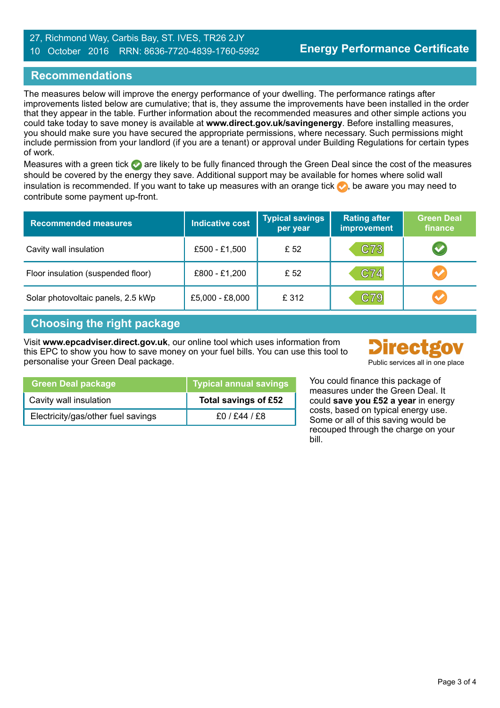#### 27, Richmond Way, Carbis Bay, ST. IVES, TR26 2JY 10 October 2016 RRN: 8636-7720-4839-1760-5992

## **Recommendations**

The measures below will improve the energy performance of your dwelling. The performance ratings after improvements listed below are cumulative; that is, they assume the improvements have been installed in the order that they appear in the table. Further information about the recommended measures and other simple actions you could take today to save money is available at **www.direct.gov.uk/savingenergy**. Before installing measures, you should make sure you have secured the appropriate permissions, where necessary. Such permissions might include permission from your landlord (if you are a tenant) or approval under Building Regulations for certain types of work.

Measures with a green tick are likely to be fully financed through the Green Deal since the cost of the measures should be covered by the energy they save. Additional support may be available for homes where solid wall insulation is recommended. If you want to take up measures with an orange tick  $\bullet$ , be aware you may need to contribute some payment up-front.

| <b>Recommended measures</b>        | <b>Indicative cost</b> | <b>Typical savings</b><br>per year | <b>Rating after</b><br>improvement | <b>Green Deal</b><br>finance |
|------------------------------------|------------------------|------------------------------------|------------------------------------|------------------------------|
| Cavity wall insulation             | £500 - £1,500          | £ 52                               | C73                                | V                            |
| Floor insulation (suspended floor) | £800 - £1,200          | £52                                | C74                                | $\bullet$                    |
| Solar photovoltaic panels, 2.5 kWp | £5,000 - £8,000        | £312                               | C79                                | $\blacktriangledown$         |

## **Choosing the right package**

Visit **www.epcadviser.direct.gov.uk**, our online tool which uses information from this EPC to show you how to save money on your fuel bills. You can use this tool to personalise your Green Deal package. Public services all in one place



| <b>Green Deal package</b>          | <b>Typical annual savings</b> |
|------------------------------------|-------------------------------|
| Cavity wall insulation             | Total savings of £52          |
| Electricity/gas/other fuel savings | £0 / £44 / £8                 |

You could finance this package of measures under the Green Deal. It could **save you £52 a year** in energy costs, based on typical energy use. Some or all of this saving would be recouped through the charge on your bill.